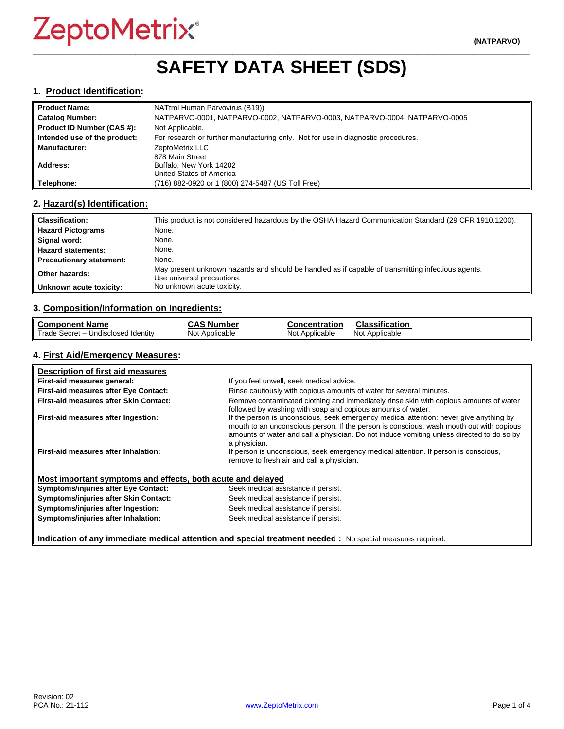# **\_\_\_\_\_\_\_\_\_\_\_\_\_\_\_\_\_\_\_\_\_\_\_\_\_\_\_\_\_\_\_\_\_\_\_\_\_\_\_\_\_\_\_\_\_\_\_\_\_\_\_\_\_\_\_\_\_\_\_\_\_\_\_\_\_\_\_\_\_\_\_\_\_\_\_\_\_\_\_\_\_\_\_\_\_\_\_\_\_\_\_\_\_\_\_\_\_ SAFETY DATA SHEET (SDS)**

#### **1. Product Identification:**

| <b>Product Name:</b>         | NATtrol Human Parvovirus (B19))                                                   |
|------------------------------|-----------------------------------------------------------------------------------|
| <b>Catalog Number:</b>       | NATPARVO-0001, NATPARVO-0002, NATPARVO-0003, NATPARVO-0004, NATPARVO-0005         |
| Product ID Number (CAS #):   | Not Applicable.                                                                   |
| Intended use of the product: | For research or further manufacturing only. Not for use in diagnostic procedures. |
| <b>Manufacturer:</b>         | ZeptoMetrix LLC                                                                   |
|                              | 878 Main Street                                                                   |
| Address:                     | Buffalo, New York 14202                                                           |
|                              | United States of America                                                          |
| Telephone:                   | (716) 882-0920 or 1 (800) 274-5487 (US Toll Free)                                 |

#### **2. Hazard(s) Identification:**

| <b>Classification:</b>          | This product is not considered hazardous by the OSHA Hazard Communication Standard (29 CFR 1910.1200).                           |
|---------------------------------|----------------------------------------------------------------------------------------------------------------------------------|
| <b>Hazard Pictograms</b>        | None.                                                                                                                            |
| Signal word:                    | None.                                                                                                                            |
| <b>Hazard statements:</b>       | None.                                                                                                                            |
| <b>Precautionary statement:</b> | None.                                                                                                                            |
| Other hazards:                  | May present unknown hazards and should be handled as if capable of transmitting infectious agents.<br>Use universal precautions. |
| Unknown acute toxicity:         | No unknown acute toxicity.                                                                                                       |

#### **3. Composition/Information on Ingredients:**

| <b>Component Name</b>               | <b>CAS Number</b> | <b>Concentration</b> | <b>Classification</b> |
|-------------------------------------|-------------------|----------------------|-----------------------|
| Trade Secret - Undisclosed Identity | Not Applicable    | Not Applicable       | Not Applicable        |

### **4. First Aid/Emergency Measures:**

| Description of first aid measures                           |                                                                                                                                                                                                                                                                                                |
|-------------------------------------------------------------|------------------------------------------------------------------------------------------------------------------------------------------------------------------------------------------------------------------------------------------------------------------------------------------------|
| First-aid measures general:                                 | If you feel unwell, seek medical advice.                                                                                                                                                                                                                                                       |
| First-aid measures after Eye Contact:                       | Rinse cautiously with copious amounts of water for several minutes.                                                                                                                                                                                                                            |
| First-aid measures after Skin Contact:                      | Remove contaminated clothing and immediately rinse skin with copious amounts of water<br>followed by washing with soap and copious amounts of water.                                                                                                                                           |
| First-aid measures after Ingestion:                         | If the person is unconscious, seek emergency medical attention: never give anything by<br>mouth to an unconscious person. If the person is conscious, wash mouth out with copious<br>amounts of water and call a physician. Do not induce vomiting unless directed to do so by<br>a physician. |
| First-aid measures after Inhalation:                        | If person is unconscious, seek emergency medical attention. If person is conscious,<br>remove to fresh air and call a physician.                                                                                                                                                               |
| Most important symptoms and effects, both acute and delayed |                                                                                                                                                                                                                                                                                                |
| <b>Symptoms/injuries after Eye Contact:</b>                 | Seek medical assistance if persist.                                                                                                                                                                                                                                                            |
| Symptoms/injuries after Skin Contact:                       | Seek medical assistance if persist.                                                                                                                                                                                                                                                            |
| Symptoms/injuries after Ingestion:                          | Seek medical assistance if persist.                                                                                                                                                                                                                                                            |
| Symptoms/injuries after Inhalation:                         | Seek medical assistance if persist.                                                                                                                                                                                                                                                            |

**Indication of any immediate medical attention and special treatment needed :** No special measures required.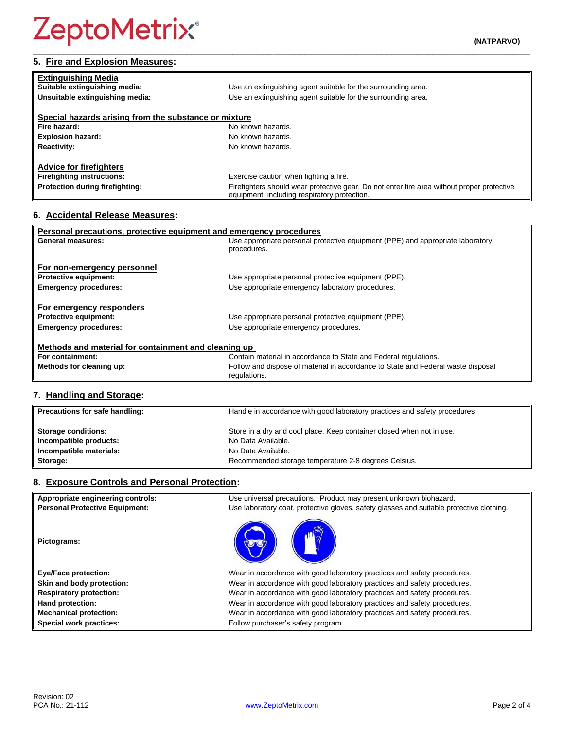# **5. Fire and Explosion Measures:**

| <b>Extinguishing Media</b>                            |                                                                                                                                            |
|-------------------------------------------------------|--------------------------------------------------------------------------------------------------------------------------------------------|
| Suitable extinguishing media:                         | Use an extinguishing agent suitable for the surrounding area.                                                                              |
| Unsuitable extinguishing media:                       | Use an extinguishing agent suitable for the surrounding area.                                                                              |
|                                                       |                                                                                                                                            |
| Special hazards arising from the substance or mixture |                                                                                                                                            |
| Fire hazard:                                          | No known hazards.                                                                                                                          |
| <b>Explosion hazard:</b>                              | No known hazards.                                                                                                                          |
| <b>Reactivity:</b>                                    | No known hazards.                                                                                                                          |
|                                                       |                                                                                                                                            |
| <b>Advice for firefighters</b>                        |                                                                                                                                            |
| <b>Firefighting instructions:</b>                     | Exercise caution when fighting a fire.                                                                                                     |
| Protection during firefighting:                       | Firefighters should wear protective gear. Do not enter fire area without proper protective<br>equipment, including respiratory protection. |

# **6. Accidental Release Measures:**

| Personal precautions, protective equipment and emergency procedures |                                                                                  |  |
|---------------------------------------------------------------------|----------------------------------------------------------------------------------|--|
| General measures:                                                   | Use appropriate personal protective equipment (PPE) and appropriate laboratory   |  |
|                                                                     | procedures.                                                                      |  |
| For non-emergency personnel                                         |                                                                                  |  |
| <b>Protective equipment:</b>                                        | Use appropriate personal protective equipment (PPE).                             |  |
| <b>Emergency procedures:</b>                                        | Use appropriate emergency laboratory procedures.                                 |  |
|                                                                     |                                                                                  |  |
| For emergency responders                                            |                                                                                  |  |
| <b>Protective equipment:</b>                                        | Use appropriate personal protective equipment (PPE).                             |  |
| <b>Emergency procedures:</b>                                        | Use appropriate emergency procedures.                                            |  |
|                                                                     |                                                                                  |  |
| Methods and material for containment and cleaning up                |                                                                                  |  |
| For containment:                                                    | Contain material in accordance to State and Federal regulations.                 |  |
| Methods for cleaning up:                                            | Follow and dispose of material in accordance to State and Federal waste disposal |  |
|                                                                     | regulations.                                                                     |  |

# **7. Handling and Storage:**

| Precautions for safe handling: | Handle in accordance with good laboratory practices and safety procedures. |
|--------------------------------|----------------------------------------------------------------------------|
| <b>Storage conditions:</b>     | Store in a dry and cool place. Keep container closed when not in use.      |
| Incompatible products:         | No Data Available.                                                         |
| Incompatible materials:        | No Data Available.                                                         |
| Storage:                       | Recommended storage temperature 2-8 degrees Celsius.                       |

# **8. Exposure Controls and Personal Protection:**

| Appropriate engineering controls:     | Use universal precautions. Product may present unknown biohazard.                        |
|---------------------------------------|------------------------------------------------------------------------------------------|
| <b>Personal Protective Equipment:</b> | Use laboratory coat, protective gloves, safety glasses and suitable protective clothing. |
| Pictograms:                           |                                                                                          |
| <b>Eye/Face protection:</b>           | Wear in accordance with good laboratory practices and safety procedures.                 |
| Skin and body protection:             | Wear in accordance with good laboratory practices and safety procedures.                 |
| <b>Respiratory protection:</b>        | Wear in accordance with good laboratory practices and safety procedures.                 |
| Hand protection:                      | Wear in accordance with good laboratory practices and safety procedures.                 |
| <b>Mechanical protection:</b>         | Wear in accordance with good laboratory practices and safety procedures.                 |
| Special work practices:               | Follow purchaser's safety program.                                                       |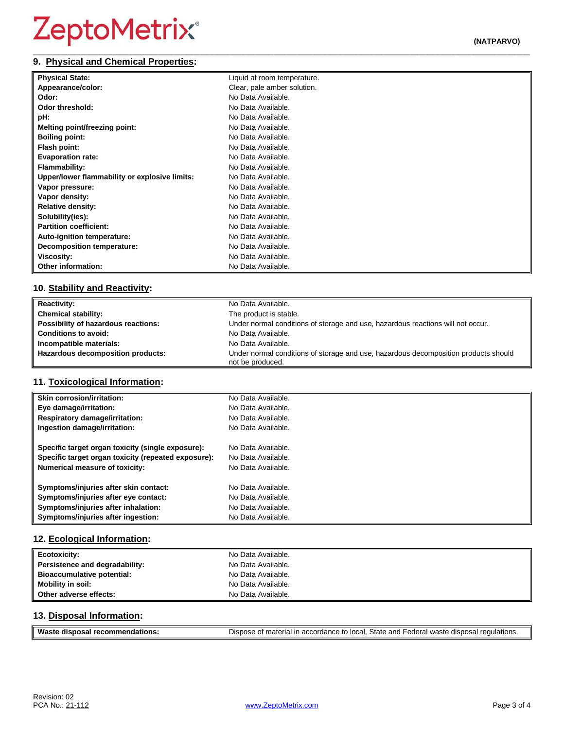#### **\_\_\_\_\_\_\_\_\_\_\_\_\_\_\_\_\_\_\_\_\_\_\_\_\_\_\_\_\_\_\_\_\_\_\_\_\_\_\_\_\_\_\_\_\_\_\_\_\_\_\_\_\_\_\_\_\_\_\_\_\_\_\_\_\_\_\_\_\_\_\_\_\_\_\_\_\_\_\_\_\_\_\_\_\_\_\_\_\_\_\_\_\_\_\_\_\_ 9. Physical and Chemical Properties:**

| <b>Physical State:</b>                        | Liquid at room temperature. |
|-----------------------------------------------|-----------------------------|
| Appearance/color:                             | Clear, pale amber solution. |
| Odor:                                         | No Data Available.          |
| Odor threshold:                               | No Data Available.          |
| pH:                                           | No Data Available.          |
| Melting point/freezing point:                 | No Data Available.          |
| <b>Boiling point:</b>                         | No Data Available.          |
| Flash point:                                  | No Data Available.          |
| <b>Evaporation rate:</b>                      | No Data Available.          |
| <b>Flammability:</b>                          | No Data Available.          |
| Upper/lower flammability or explosive limits: | No Data Available.          |
| Vapor pressure:                               | No Data Available.          |
| Vapor density:                                | No Data Available.          |
| <b>Relative density:</b>                      | No Data Available.          |
| Solubility(ies):                              | No Data Available.          |
| <b>Partition coefficient:</b>                 | No Data Available.          |
| Auto-ignition temperature:                    | No Data Available.          |
| <b>Decomposition temperature:</b>             | No Data Available.          |
| <b>Viscosity:</b>                             | No Data Available.          |
| <b>Other information:</b>                     | No Data Available.          |

# **10. Stability and Reactivity:**

| <b>Reactivity:</b>                  | No Data Available.                                                                                      |
|-------------------------------------|---------------------------------------------------------------------------------------------------------|
| <b>Chemical stability:</b>          | The product is stable.                                                                                  |
| Possibility of hazardous reactions: | Under normal conditions of storage and use, hazardous reactions will not occur.                         |
| <b>Conditions to avoid:</b>         | No Data Available.                                                                                      |
| Incompatible materials:             | No Data Available.                                                                                      |
| Hazardous decomposition products:   | Under normal conditions of storage and use, hazardous decomposition products should<br>not be produced. |

# **11. Toxicological Information:**

| <b>Skin corrosion/irritation:</b>                   | No Data Available. |
|-----------------------------------------------------|--------------------|
| Eye damage/irritation:                              | No Data Available. |
| <b>Respiratory damage/irritation:</b>               | No Data Available. |
| Ingestion damage/irritation:                        | No Data Available. |
| Specific target organ toxicity (single exposure):   | No Data Available. |
| Specific target organ toxicity (repeated exposure): | No Data Available. |
| <b>Numerical measure of toxicity:</b>               | No Data Available. |
| Symptoms/injuries after skin contact:               | No Data Available. |
| Symptoms/injuries after eye contact:                | No Data Available. |
| Symptoms/injuries after inhalation:                 | No Data Available. |
| Symptoms/injuries after ingestion:                  | No Data Available. |

# **12. Ecological Information:**

| <b>Ecotoxicity:</b>            | No Data Available. |
|--------------------------------|--------------------|
| Persistence and degradability: | No Data Available. |
| Bioaccumulative potential:     | No Data Available. |
| <b>Mobility in soil:</b>       | No Data Available. |
| Other adverse effects:         | No Data Available. |

# **13. Disposal Information:**

| <b>Wast</b>                     |                                                                                                              |
|---------------------------------|--------------------------------------------------------------------------------------------------------------|
| dations.<br>aisposar :<br>recon | n accordance to local. State and Federal waste disposal r<br><sup>1</sup> regulations.<br>. of material in : |